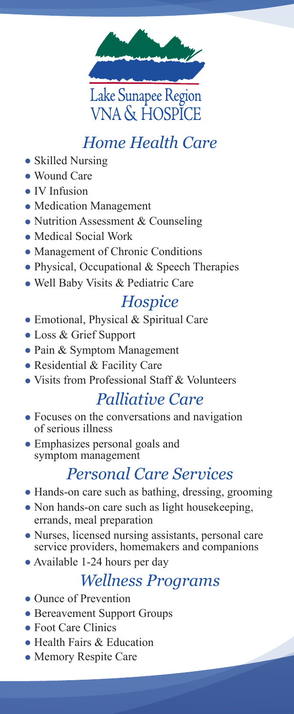

## *Home Health Care*

- Skilled Nursing
- Wound Care
- IV Infusion
- Medication Management
- Nutrition Assessment & Counseling
- Medical Social Work
- Management of Chronic Conditions
- Physical, Occupational & Speech Therapies
- Well Baby Visits & Pediatric Care

#### *Hospice*

- Emotional, Physical & Spiritual Care
- Loss & Grief Support
- Pain & Symptom Management
- Residential & Facility Care
- Visits from Professional Staff & Volunteers

### *Palliative Care*

- Focuses on the conversations and navigation of serious illness
- Emphasizes personal goals and symptom management

## *Personal Care Services*

- Hands-on care such as bathing, dressing, grooming
- Non hands-on care such as light housekeeping, errands, meal preparation
- Nurses, licensed nursing assistants, personal care service providers, homemakers and companions
- Available 1-24 hours per day

### *Wellness Programs*

- Ounce of Prevention
- Bereavement Support Groups
- Foot Care Clinics
- Health Fairs & Education
- Memory Respite Care